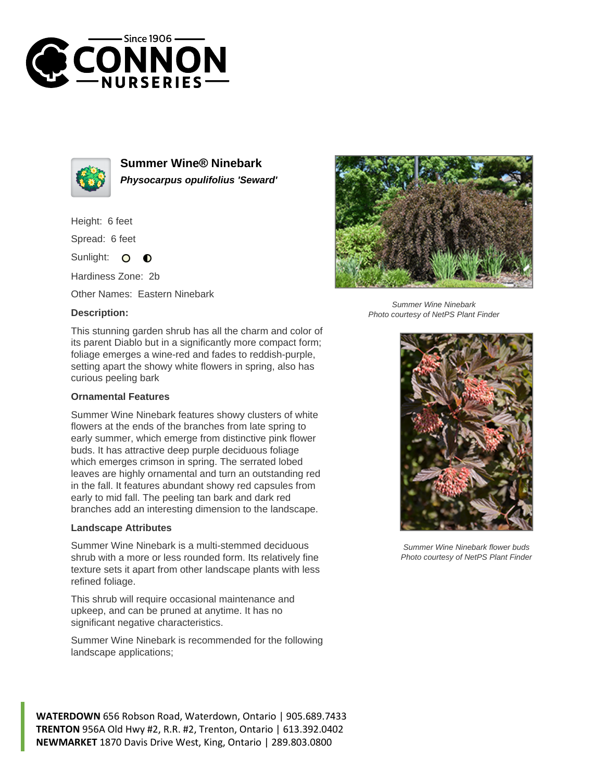



**Summer Wine® Ninebark Physocarpus opulifolius 'Seward'**

Height: 6 feet

Spread: 6 feet

Sunlight:  $\circ$  $\bullet$ 

Hardiness Zone: 2b

Other Names: Eastern Ninebark

## **Description:**



Summer Wine Ninebark Photo courtesy of NetPS Plant Finder

This stunning garden shrub has all the charm and color of its parent Diablo but in a significantly more compact form; foliage emerges a wine-red and fades to reddish-purple, setting apart the showy white flowers in spring, also has curious peeling bark

## **Ornamental Features**

Summer Wine Ninebark features showy clusters of white flowers at the ends of the branches from late spring to early summer, which emerge from distinctive pink flower buds. It has attractive deep purple deciduous foliage which emerges crimson in spring. The serrated lobed leaves are highly ornamental and turn an outstanding red in the fall. It features abundant showy red capsules from early to mid fall. The peeling tan bark and dark red branches add an interesting dimension to the landscape.

## **Landscape Attributes**

Summer Wine Ninebark is a multi-stemmed deciduous shrub with a more or less rounded form. Its relatively fine texture sets it apart from other landscape plants with less refined foliage.

This shrub will require occasional maintenance and upkeep, and can be pruned at anytime. It has no significant negative characteristics.

Summer Wine Ninebark is recommended for the following landscape applications;





Summer Wine Ninebark flower buds Photo courtesy of NetPS Plant Finder